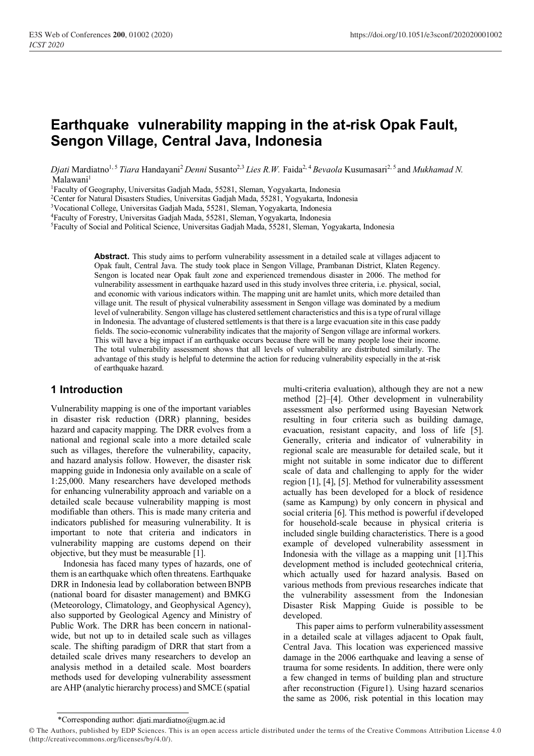# **Earthquake vulnerability mapping in the at-risk Opak Fault, Sengon Village, Central Java, Indonesia**

*Djati* Mardiatno<sup>1, 5</sup> *Tiara* Handayani<sup>2</sup> *Denni* Susanto<sup>2,3</sup> *Lies R.W.* Faida<sup>2, 4</sup> *Bevaola* Kusumasari<sup>2, 5</sup> and *Mukhamad N.* Malawani<sup>1</sup>

<sup>1</sup>Faculty of Geography, Universitas Gadjah Mada, 55281, Sleman, Yogyakarta, Indonesia

<sup>2</sup>Center for Natural Disasters Studies, Universitas Gadjah Mada, 55281, Yogyakarta, Indonesia

<sup>3</sup>Vocational College, Universitas Gadjah Mada, 55281, Sleman, Yogyakarta, Indonesia

<sup>4</sup>Faculty of Forestry, Universitas Gadjah Mada, 55281, Sleman, Yogyakarta, Indonesia

<sup>5</sup>Faculty of Social and Political Science, Universitas Gadjah Mada, 55281, Sleman, Yogyakarta, Indonesia

**Abstract.** This study aims to perform vulnerability assessment in a detailed scale at villages adjacent to Opak fault, Central Java. The study took place in Sengon Village, Prambanan District, Klaten Regency. Sengon is located near Opak fault zone and experienced tremendous disaster in 2006. The method for vulnerability assessment in earthquake hazard used in this study involves three criteria, i.e. physical, social, and economic with various indicators within. The mapping unit are hamlet units, which more detailed than village unit. The result of physical vulnerability assessment in Sengon village was dominated by a medium level of vulnerability. Sengon village has clustered settlement characteristics and thisis a type of rural village in Indonesia. The advantage of clustered settlements is that there is a large evacuation site in this case paddy fields. The socio-economic vulnerability indicates that the majority of Sengon village are informal workers. This will have a big impact if an earthquake occurs because there will be many people lose their income. The total vulnerability assessment shows that all levels of vulnerability are distributed similarly. The advantage of this study is helpful to determine the action for reducing vulnerability especially in the at-risk of earthquake hazard.

### **1 Introduction**

Vulnerability mapping is one of the important variables in disaster risk reduction (DRR) planning, besides hazard and capacity mapping. The DRR evolves from a national and regional scale into a more detailed scale such as villages, therefore the vulnerability, capacity, and hazard analysis follow. However, the disaster risk mapping guide in Indonesia only available on a scale of 1:25,000. Many researchers have developed methods for enhancing vulnerability approach and variable on a detailed scale because vulnerability mapping is most modifiable than others. This is made many criteria and indicators published for measuring vulnerability. It is important to note that criteria and indicators in vulnerability mapping are customs depend on their objective, but they must be measurable [1].

Indonesia has faced many types of hazards, one of them is an earthquake which often threatens. Earthquake DRR in Indonesia lead by collaboration between BNPB (national board for disaster management) and BMKG (Meteorology, Climatology, and Geophysical Agency), also supported by Geological Agency and Ministry of Public Work. The DRR has been concern in nationalwide, but not up to in detailed scale such as villages scale. The shifting paradigm of DRR that start from a detailed scale drives many researchers to develop an analysis method in a detailed scale. Most boarders methods used for developing vulnerability assessment are AHP (analytic hierarchy process) and SMCE (spatial

multi-criteria evaluation), although they are not a new method [2]–[4]. Other development in vulnerability assessment also performed using Bayesian Network resulting in four criteria such as building damage, evacuation, resistant capacity, and loss of life [5]. Generally, criteria and indicator of vulnerability in regional scale are measurable for detailed scale, but it might not suitable in some indicator due to different scale of data and challenging to apply for the wider region [1], [4], [5]. Method for vulnerability assessment actually has been developed for a block of residence (same as Kampung) by only concern in physical and social criteria [6]. This method is powerful if developed for household-scale because in physical criteria is included single building characteristics. There is a good example of developed vulnerability assessment in Indonesia with the village as a mapping unit [1].This development method is included geotechnical criteria, which actually used for hazard analysis. Based on various methods from previous researches indicate that the vulnerability assessment from the Indonesian Disaster Risk Mapping Guide is possible to be developed.

This paper aims to perform vulnerability assessment in a detailed scale at villages adjacent to Opak fault, Central Java. This location was experienced massive damage in the 2006 earthquake and leaving a sense of trauma for some residents. In addition, there were only a few changed in terms of building plan and structure after reconstruction (Figure1). Using hazard scenarios the same as 2006, risk potential in this location may

<sup>\*</sup>Corresponding author[: djati.mardiatno@ugm.ac.id](mailto:djati.mardiatno@ugm.ac.id)

<sup>©</sup> The Authors, published by EDP Sciences. This is an open access article distributed under the terms of the Creative Commons Attribution License 4.0 (http://creativecommons.org/licenses/by/4.0/).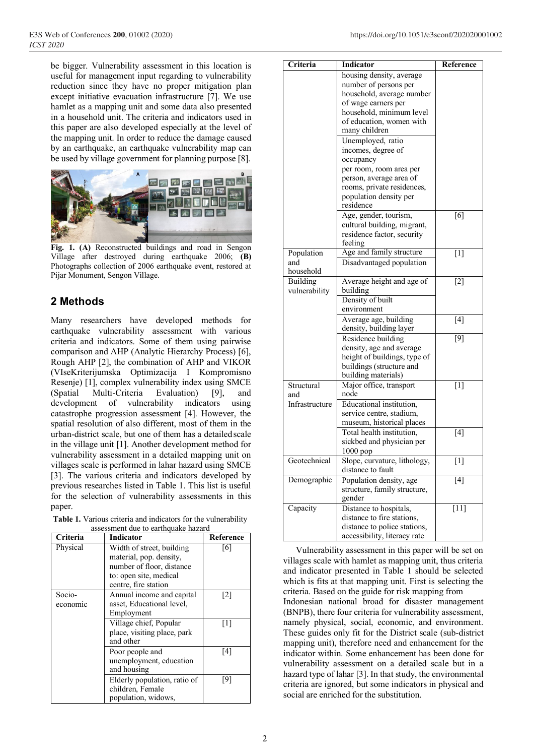be bigger. Vulnerability assessment in this location is useful for management input regarding to vulnerability reduction since they have no proper mitigation plan except initiative evacuation infrastructure [7]. We use hamlet as a mapping unit and some data also presented in a household unit. The criteria and indicators used in this paper are also developed especially at the level of the mapping unit. In order to reduce the damage caused by an earthquake, an earthquake vulnerability map can be used by village government for planning purpose [8].



**Fig. 1. (A)** Reconstructed buildings and road in Sengon Village after destroyed during earthquake 2006; **(B)**  Photographs collection of 2006 earthquake event, restored at Pijar Monument, Sengon Village.

# **2 Methods**

Many researchers have developed methods for earthquake vulnerability assessment with various criteria and indicators. Some of them using pairwise comparison and AHP (Analytic Hierarchy Process) [6], Rough AHP [2], the combination of AHP and VIKOR (VIseKriterijumska Optimizacija I Kompromisno Resenje) [1], complex vulnerability index using SMCE (Spatial Multi-Criteria Evaluation) [9], and development of vulnerability indicators using catastrophe progression assessment [4]. However, the spatial resolution of also different, most of them in the urban-district scale, but one of them has a detailedscale in the village unit [1]. Another development method for vulnerability assessment in a detailed mapping unit on villages scale is performed in lahar hazard using SMCE [3]. The various criteria and indicators developed by previous researches listed in Table 1. This list is useful for the selection of vulnerability assessments in this paper.

**Table 1.** Various criteria and indicators for the vulnerability assessment due to earthquake hazard

| Criteria | <b>Indicator</b>                                                        | Reference         |
|----------|-------------------------------------------------------------------------|-------------------|
| Physical | Width of street, building<br>material, pop. density,                    | [6]               |
|          | number of floor, distance                                               |                   |
|          | to: open site, medical<br>centre, fire station                          |                   |
| Socio-   | Annual income and capital                                               | $\lceil 2 \rceil$ |
| economic | asset, Educational level,                                               |                   |
|          | Employment                                                              |                   |
|          | Village chief, Popular                                                  | [1]               |
|          | place, visiting place, park<br>and other                                |                   |
|          | Poor people and                                                         | [4]               |
|          | unemployment, education<br>and housing                                  |                   |
|          | Elderly population, ratio of<br>children, Female<br>population, widows, | [9]               |

| Criteria       | Indicator                    | Reference |
|----------------|------------------------------|-----------|
|                | housing density, average     |           |
|                | number of persons per        |           |
|                | household, average number    |           |
|                | of wage earners per          |           |
|                | household, minimum level     |           |
|                | of education, women with     |           |
|                | many children                |           |
|                | Unemployed, ratio            |           |
|                | incomes, degree of           |           |
|                | occupancy                    |           |
|                | per room, room area per      |           |
|                | person, average area of      |           |
|                | rooms, private residences,   |           |
|                | population density per       |           |
|                | residence                    |           |
|                | Age, gender, tourism,        | [6]       |
|                | cultural building, migrant,  |           |
|                | residence factor, security   |           |
|                | feeling                      |           |
| Population     | Age and family structure     | [1]       |
| and            | Disadvantaged population     |           |
| household      |                              |           |
| Building       | Average height and age of    | $[2]$     |
| vulnerability  | building                     |           |
|                | Density of built             |           |
|                | environment                  |           |
|                | Average age, building        | [4]       |
|                | density, building layer      |           |
|                | Residence building           | $[9]$     |
|                | density, age and average     |           |
|                | height of buildings, type of |           |
|                | buildings (structure and     |           |
|                | building materials)          |           |
| Structural     | Major office, transport      | $[1]$     |
| and            | node                         |           |
| Infrastructure | Educational institution.     |           |
|                | service centre, stadium,     |           |
|                | museum, historical places    |           |
|                | Total health institution,    | [4]       |
|                | sickbed and physician per    |           |
|                | 1000 pop                     |           |
| Geotechnical   | Slope, curvature, lithology, | $[1]$     |
|                | distance to fault            |           |
| Demographic    | Population density, age      | [4]       |
|                | structure, family structure, |           |
|                | gender                       |           |
| Capacity       | Distance to hospitals,       | $[11]$    |
|                | distance to fire stations,   |           |
|                | distance to police stations, |           |
|                | accessibility, literacy rate |           |

Vulnerability assessment in this paper will be set on villages scale with hamlet as mapping unit, thus criteria and indicator presented in Table 1 should be selected which is fits at that mapping unit. First is selecting the criteria. Based on the guide for risk mapping from Indonesian national broad for disaster management (BNPB), there four criteria for vulnerability assessment, namely physical, social, economic, and environment. These guides only fit for the District scale (sub-district mapping unit), therefore need and enhancement for the indicator within. Some enhancement has been done for vulnerability assessment on a detailed scale but in a hazard type of lahar [3]. In that study, the environmental criteria are ignored, but some indicators in physical and social are enriched for the substitution.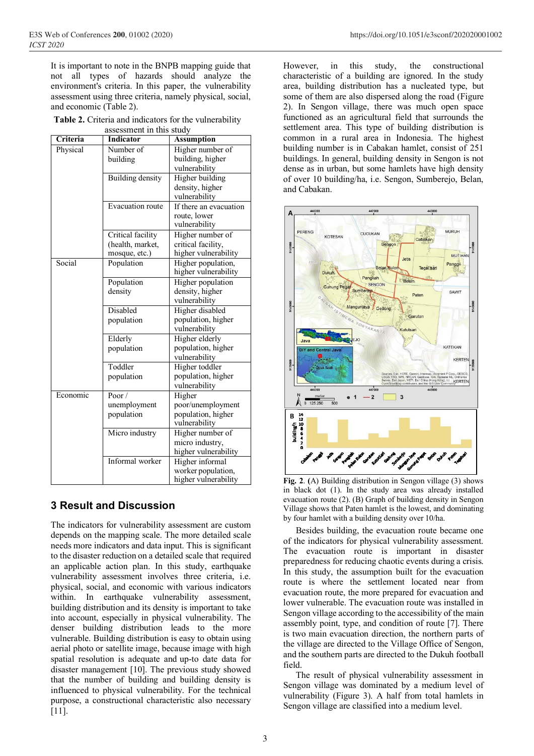It is important to note in the BNPB mapping guide that not all types of hazards should analyze the environment's criteria. In this paper, the vulnerability assessment using three criteria, namely physical, social, and economic (Table 2).

**Table 2.** Criteria and indicators for the vulnerability assessment in this study

| Criteria | азэсээнненын инэ эшиү<br><b>Indicator</b> | <b>Assumption</b>                   |
|----------|-------------------------------------------|-------------------------------------|
| Physical | Number of                                 | Higher number of                    |
|          | building                                  | building, higher                    |
|          |                                           | vulnerability                       |
|          | Building density                          | Higher building                     |
|          |                                           | density, higher                     |
|          |                                           | vulnerability                       |
|          | Evacuation route                          | If there an evacuation              |
|          |                                           | route, lower                        |
|          |                                           | vulnerability                       |
|          | Critical facility                         | Higher number of                    |
|          | (health, market,                          | critical facility,                  |
|          | mosque, etc.)                             | higher vulnerability                |
| Social   | Population                                | Higher population,                  |
|          |                                           | higher vulnerability                |
|          | Population                                | Higher population                   |
|          | density                                   | density, higher                     |
|          |                                           | vulnerability                       |
|          | Disabled                                  | Higher disabled                     |
|          | population                                | population, higher                  |
|          |                                           | vulnerability                       |
|          | Elderly                                   | Higher elderly                      |
|          | population                                | population, higher                  |
|          |                                           | vulnerability                       |
|          | Toddler                                   | Higher toddler                      |
|          | population                                | population, higher<br>vulnerability |
| Economic | Poor/                                     | Higher                              |
|          | unemployment                              | poor/unemployment                   |
|          | population                                | population, higher                  |
|          |                                           | vulnerability                       |
|          | Micro industry                            | Higher number of                    |
|          |                                           | micro industry,                     |
|          |                                           | higher vulnerability                |
|          | Informal worker                           | Higher informal                     |
|          |                                           | worker population,                  |
|          |                                           | higher vulnerability                |

## **3 Result and Discussion**

The indicators for vulnerability assessment are custom depends on the mapping scale. The more detailed scale needs more indicators and data input. This is significant to the disaster reduction on a detailed scale that required an applicable action plan. In this study, earthquake vulnerability assessment involves three criteria, i.e. physical, social, and economic with various indicators within. In earthquake vulnerability assessment, building distribution and its density is important to take into account, especially in physical vulnerability. The denser building distribution leads to the more vulnerable. Building distribution is easy to obtain using aerial photo or satellite image, because image with high spatial resolution is adequate and up-to date data for disaster management [10]. The previous study showed that the number of building and building density is influenced to physical vulnerability. For the technical purpose, a constructional characteristic also necessary [11].

However, in this study, the constructional characteristic of a building are ignored. In the study area, building distribution has a nucleated type, but some of them are also dispersed along the road (Figure 2). In Sengon village, there was much open space functioned as an agricultural field that surrounds the settlement area. This type of building distribution is common in a rural area in Indonesia. The highest building number is in Cabakan hamlet, consist of 251 buildings. In general, building density in Sengon is not dense as in urban, but some hamlets have high density of over 10 building/ha, i.e. Sengon, Sumberejo, Belan, and Cabakan.



**Fig. 2**. **(**A) Building distribution in Sengon village (3) shows in black dot (1). In the study area was already installed evacuation route (2). (B) Graph of building density in Sengon Village shows that Paten hamlet is the lowest, and dominating by four hamlet with a building density over 10/ha.

Besides building, the evacuation route became one of the indicators for physical vulnerability assessment. The evacuation route is important in disaster preparedness for reducing chaotic events during a crisis. In this study, the assumption built for the evacuation route is where the settlement located near from evacuation route, the more prepared for evacuation and lower vulnerable. The evacuation route was installed in Sengon village according to the accessibility of the main assembly point, type, and condition of route [7]. There is two main evacuation direction, the northern parts of the village are directed to the Village Office of Sengon, and the southern parts are directed to the Dukuh football field.

The result of physical vulnerability assessment in Sengon village was dominated by a medium level of vulnerability (Figure 3). A half from total hamlets in Sengon village are classified into a medium level.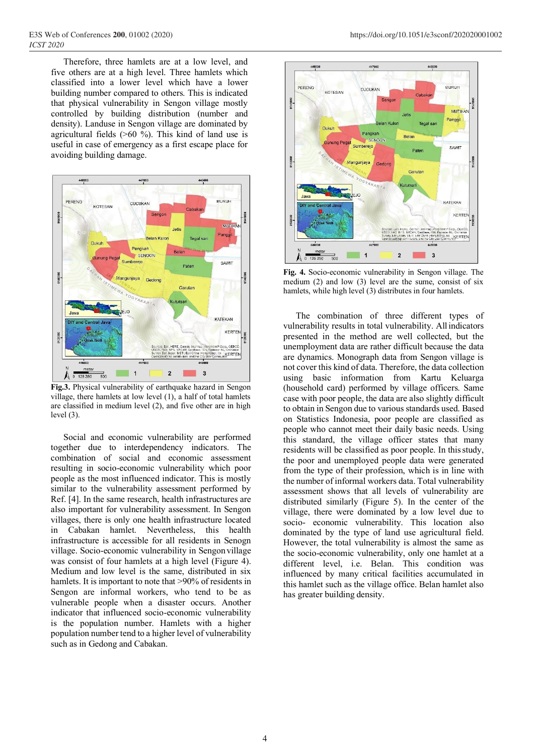Therefore, three hamlets are at a low level, and five others are at a high level. Three hamlets which classified into a lower level which have a lower building number compared to others. This is indicated that physical vulnerability in Sengon village mostly controlled by building distribution (number and density). Landuse in Sengon village are dominated by agricultural fields (>60 %). This kind of land use is useful in case of emergency as a first escape place for avoiding building damage.



**Fig.3.** Physical vulnerability of earthquake hazard in Sengon village, there hamlets at low level (1), a half of total hamlets are classified in medium level (2), and five other are in high level (3).

Social and economic vulnerability are performed together due to interdependency indicators. The combination of social and economic assessment resulting in socio-economic vulnerability which poor people as the most influenced indicator. This is mostly similar to the vulnerability assessment performed by Ref. [4]. In the same research, health infrastructures are also important for vulnerability assessment. In Sengon villages, there is only one health infrastructure located in Cabakan hamlet. Nevertheless, this health infrastructure is accessible for all residents in Senogn village. Socio-economic vulnerability in Sengon village was consist of four hamlets at a high level (Figure 4). Medium and low level is the same, distributed in six hamlets. It is important to note that >90% of residents in Sengon are informal workers, who tend to be as vulnerable people when a disaster occurs. Another indicator that influenced socio-economic vulnerability is the population number. Hamlets with a higher population number tend to a higher level of vulnerability such as in Gedong and Cabakan.



**Fig. 4.** Socio-economic vulnerability in Sengon village. The medium (2) and low (3) level are the sume, consist of six hamlets, while high level (3) distributes in four hamlets.

The combination of three different types of vulnerability results in total vulnerability. Allindicators presented in the method are well collected, but the unemployment data are rather difficult because the data are dynamics. Monograph data from Sengon village is not cover this kind of data. Therefore, the data collection using basic information from Kartu Keluarga (household card) performed by village officers. Same case with poor people, the data are also slightly difficult to obtain in Sengon due to various standards used. Based on Statistics Indonesia, poor people are classified as people who cannot meet their daily basic needs. Using this standard, the village officer states that many residents will be classified as poor people. In thisstudy, the poor and unemployed people data were generated from the type of their profession, which is in line with the number of informal workers data. Total vulnerability assessment shows that all levels of vulnerability are distributed similarly (Figure 5). In the center of the village, there were dominated by a low level due to socio- economic vulnerability. This location also dominated by the type of land use agricultural field. However, the total vulnerability is almost the same as the socio-economic vulnerability, only one hamlet at a different level, i.e. Belan. This condition was influenced by many critical facilities accumulated in this hamlet such as the village office. Belan hamlet also has greater building density.